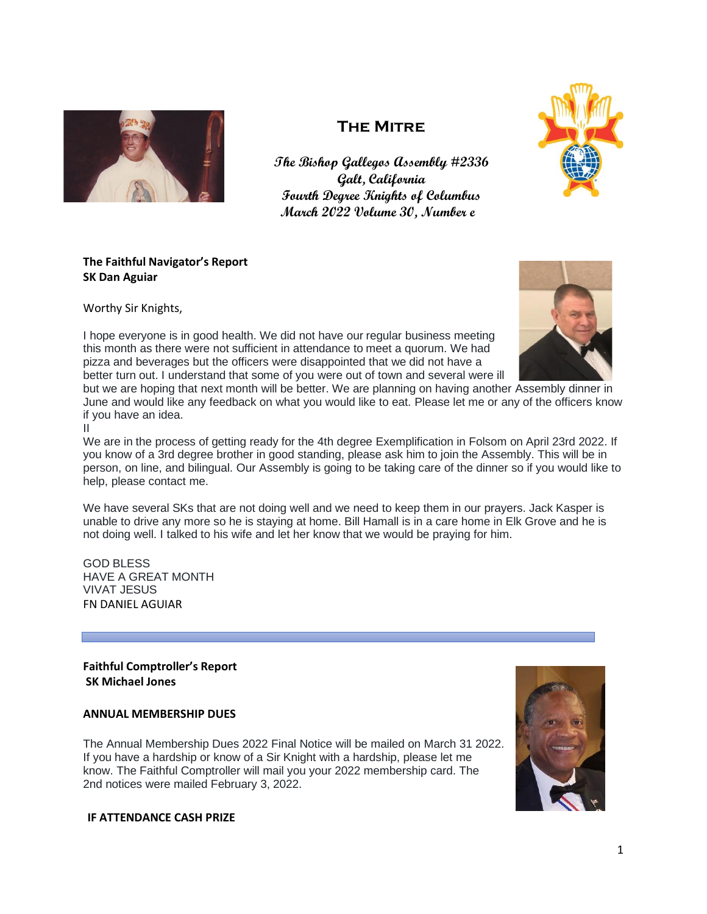

# **The Mitre**

**The Bishop Gallegos Assembly #2336 Galt, California Fourth Degree Knights of Columbus March 2022 Volume 30, Number e**



# **The Faithful Navigator's Report SK Dan Aguiar**

Worthy Sir Knights,

I hope everyone is in good health. We did not have our regular business meeting this month as there were not sufficient in attendance to meet a quorum. We had pizza and beverages but the officers were disappointed that we did not have a better turn out. I understand that some of you were out of town and several were ill

but we are hoping that next month will be better. We are planning on having another Assembly dinner in June and would like any feedback on what you would like to eat. Please let me or any of the officers know if you have an idea.

II

We are in the process of getting ready for the 4th degree Exemplification in Folsom on April 23rd 2022. If you know of a 3rd degree brother in good standing, please ask him to join the Assembly. This will be in person, on line, and bilingual. Our Assembly is going to be taking care of the dinner so if you would like to help, please contact me.

We have several SKs that are not doing well and we need to keep them in our prayers. Jack Kasper is unable to drive any more so he is staying at home. Bill Hamall is in a care home in Elk Grove and he is not doing well. I talked to his wife and let her know that we would be praying for him.

GOD BLESS HAVE A GREAT MONTH VIVAT JESUS FN DANIEL AGUIAR

**Faithful Comptroller's Report SK Michael Jones**

# **ANNUAL MEMBERSHIP DUES**

The Annual Membership Dues 2022 Final Notice will be mailed on March 31 2022. If you have a hardship or know of a Sir Knight with a hardship, please let me know. The Faithful Comptroller will mail you your 2022 membership card. The 2nd notices were mailed February 3, 2022.



**IF ATTENDANCE CASH PRIZE**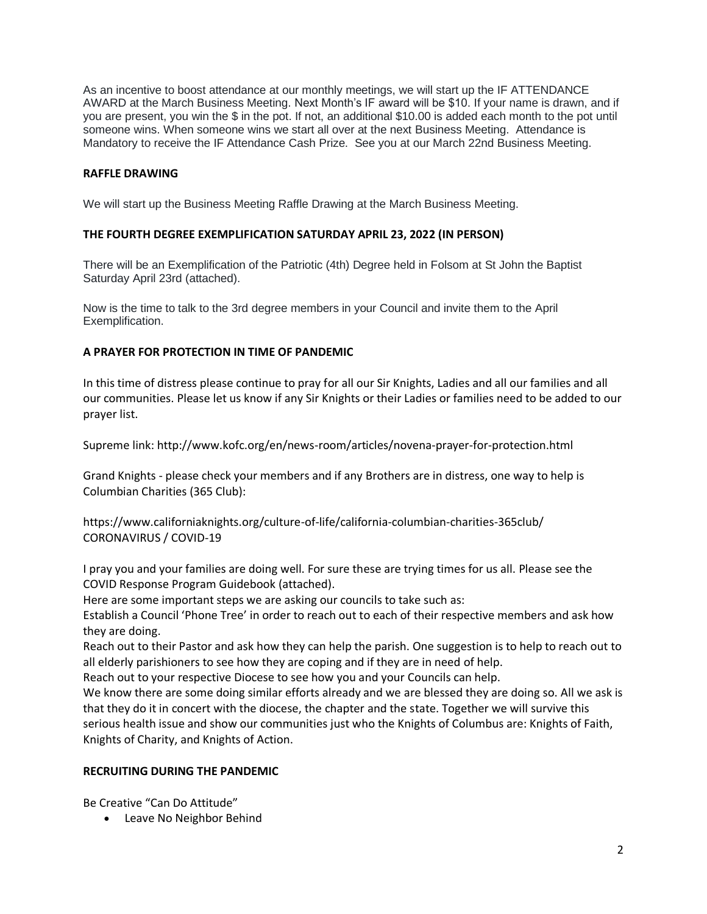As an incentive to boost attendance at our monthly meetings, we will start up the IF ATTENDANCE AWARD at the March Business Meeting. Next Month's IF award will be \$10. If your name is drawn, and if you are present, you win the \$ in the pot. If not, an additional \$10.00 is added each month to the pot until someone wins. When someone wins we start all over at the next Business Meeting. Attendance is Mandatory to receive the IF Attendance Cash Prize. See you at our March 22nd Business Meeting.

## **RAFFLE DRAWING**

We will start up the Business Meeting Raffle Drawing at the March Business Meeting.

## **THE FOURTH DEGREE EXEMPLIFICATION SATURDAY APRIL 23, 2022 (IN PERSON)**

There will be an Exemplification of the Patriotic (4th) Degree held in Folsom at St John the Baptist Saturday April 23rd (attached).

Now is the time to talk to the 3rd degree members in your Council and invite them to the April Exemplification.

## **A PRAYER FOR PROTECTION IN TIME OF PANDEMIC**

In this time of distress please continue to pray for all our Sir Knights, Ladies and all our families and all our communities. Please let us know if any Sir Knights or their Ladies or families need to be added to our prayer list.

Supreme link: <http://www.kofc.org/en/news-room/articles/novena-prayer-for-protection.html>

Grand Knights - please check your members and if any Brothers are in distress, one way to help is Columbian Charities (365 Club):

<https://www.californiaknights.org/culture-of-life/california-columbian-charities-365club/> CORONAVIRUS / COVID-19

I pray you and your families are doing well. For sure these are trying times for us all. Please see the COVID Response Program Guidebook (attached).

Here are some important steps we are asking our councils to take such as:

Establish a Council 'Phone Tree' in order to reach out to each of their respective members and ask how they are doing.

Reach out to their Pastor and ask how they can help the parish. One suggestion is to help to reach out to all elderly parishioners to see how they are coping and if they are in need of help.

Reach out to your respective Diocese to see how you and your Councils can help.

We know there are some doing similar efforts already and we are blessed they are doing so. All we ask is that they do it in concert with the diocese, the chapter and the state. Together we will survive this serious health issue and show our communities just who the Knights of Columbus are: Knights of Faith, Knights of Charity, and Knights of Action.

# **RECRUITING DURING THE PANDEMIC**

Be Creative "Can Do Attitude"

• Leave No Neighbor Behind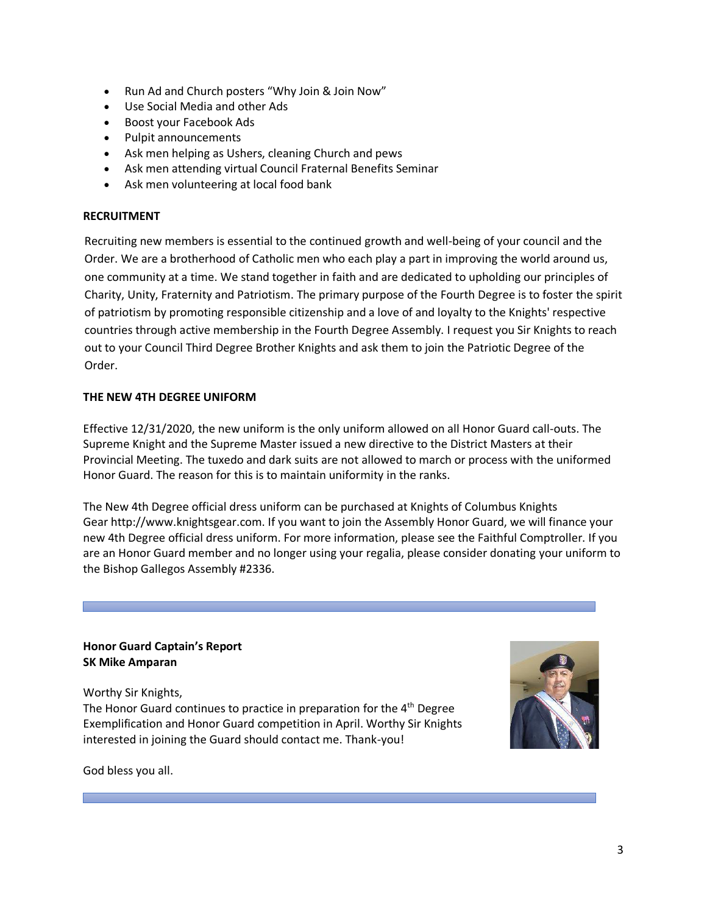- Run Ad and Church posters "Why Join & Join Now"
- Use Social Media and other Ads
- Boost your Facebook Ads
- Pulpit announcements
- Ask men helping as Ushers, cleaning Church and pews
- Ask men attending virtual Council Fraternal Benefits Seminar
- Ask men volunteering at local food bank

# **RECRUITMENT**

Recruiting new members is essential to the continued growth and well-being of your council and the Order. We are a brotherhood of Catholic men who each play a part in improving the world around us, one community at a time. We stand together in faith and are dedicated to upholding our principles of Charity, Unity, Fraternity and Patriotism. The primary purpose of the Fourth Degree is to foster the spirit of patriotism by promoting responsible citizenship and a love of and loyalty to the Knights' respective countries through active membership in the Fourth Degree Assembly. I request you Sir Knights to reach out to your Council Third Degree Brother Knights and ask them to join the Patriotic Degree of the Order.

# **THE NEW 4TH DEGREE UNIFORM**

Effective 12/31/2020, the new uniform is the only uniform allowed on all Honor Guard call-outs. The Supreme Knight and the Supreme Master issued a new directive to the District Masters at their Provincial Meeting. The tuxedo and dark suits are not allowed to march or process with the uniformed Honor Guard. The reason for this is to maintain uniformity in the ranks.

The New 4th Degree official dress uniform can be purchased at Knights of Columbus Knights Gear [http://www.knightsgear.com.](http://www.knightsgear.com/) If you want to join the Assembly Honor Guard, we will finance your new 4th Degree official dress uniform. For more information, please see the Faithful Comptroller. If you are an Honor Guard member and no longer using your regalia, please consider donating your uniform to the Bishop Gallegos Assembly #2336.

## **Honor Guard Captain's Report SK Mike Amparan**

Worthy Sir Knights,

The Honor Guard continues to practice in preparation for the 4<sup>th</sup> Degree Exemplification and Honor Guard competition in April. Worthy Sir Knights interested in joining the Guard should contact me. Thank-you!



God bless you all.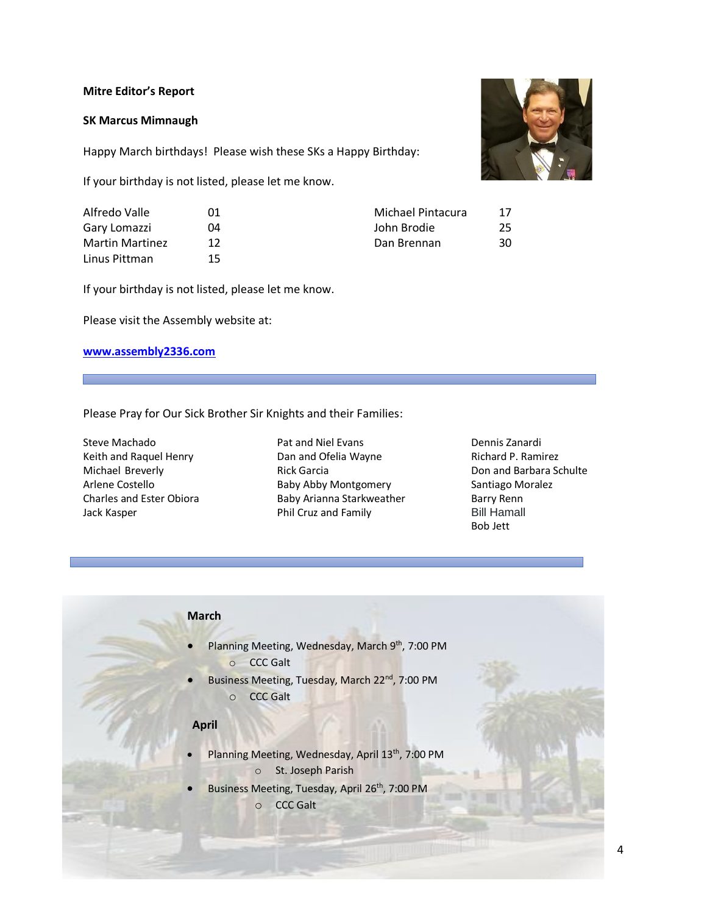#### **Mitre Editor's Report**

## **SK Marcus Mimnaugh**

Happy March birthdays! Please wish these SKs a Happy Birthday:

If your birthday is not listed, please let me know.

| Alfredo Valle          | 01 |
|------------------------|----|
| Gary Lomazzi           | 04 |
| <b>Martin Martinez</b> | 12 |
| Linus Pittman          | 15 |

Michael Pintacura 17 John Brodie 25 Dan Brennan 30

If your birthday is not listed, please let me know.

Please visit the Assembly website at:

## **[www.assembly2336.com](http://www.assembly2336.com/)**

## Please Pray for Our Sick Brother Sir Knights and their Families:

Steve Machado Keith and Raquel Henry Michael Breverly Arlene Costello Charles and Ester Obiora Jack Kasper

- Pat and Niel Evans Dan and Ofelia Wayne Rick Garcia Baby Abby Montgomery Baby Arianna Starkweather Phil Cruz and Family
- Dennis Zanardi Richard P. Ramirez Don and Barbara Schulte Santiago Moralez Barry Renn Bill Hamall Bob Jett

# **March**

- Planning Meeting, Wednesday, March 9<sup>th</sup>, 7:00 PM o CCC Galt
- Business Meeting, Tuesday, March 22<sup>nd</sup>, 7:00 PM o CCC Galt

#### **April**

- Planning Meeting, Wednesday, April 13<sup>th</sup>, 7:00 PM o St. Joseph Parish
- Business Meeting, Tuesday, April 26<sup>th</sup>, 7:00 PM o CCC Galt